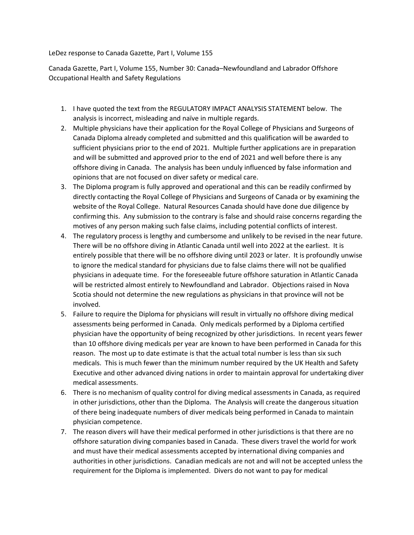LeDez response to Canada Gazette, Part I, Volume 155

Canada Gazette, Part I, Volume 155, Number 30: Canada–Newfoundland and Labrador Offshore Occupational Health and Safety Regulations

- 1. I have quoted the text from the REGULATORY IMPACT ANALYSIS STATEMENT below. The analysis is incorrect, misleading and naïve in multiple regards.
- 2. Multiple physicians have their application for the Royal College of Physicians and Surgeons of Canada Diploma already completed and submitted and this qualification will be awarded to sufficient physicians prior to the end of 2021. Multiple further applications are in preparation and will be submitted and approved prior to the end of 2021 and well before there is any offshore diving in Canada. The analysis has been unduly influenced by false information and opinions that are not focused on diver safety or medical care.
- 3. The Diploma program is fully approved and operational and this can be readily confirmed by directly contacting the Royal College of Physicians and Surgeons of Canada or by examining the website of the Royal College. Natural Resources Canada should have done due diligence by confirming this. Any submission to the contrary is false and should raise concerns regarding the motives of any person making such false claims, including potential conflicts of interest.
- 4. The regulatory process is lengthy and cumbersome and unlikely to be revised in the near future. There will be no offshore diving in Atlantic Canada until well into 2022 at the earliest. It is entirely possible that there will be no offshore diving until 2023 or later. It is profoundly unwise to ignore the medical standard for physicians due to false claims there will not be qualified physicians in adequate time. For the foreseeable future offshore saturation in Atlantic Canada will be restricted almost entirely to Newfoundland and Labrador. Objections raised in Nova Scotia should not determine the new regulations as physicians in that province will not be involved.
- 5. Failure to require the Diploma for physicians will result in virtually no offshore diving medical assessments being performed in Canada. Only medicals performed by a Diploma certified physician have the opportunity of being recognized by other jurisdictions. In recent years fewer than 10 offshore diving medicals per year are known to have been performed in Canada for this reason. The most up to date estimate is that the actual total number is less than six such medicals. This is much fewer than the minimum number required by the UK Health and Safety Executive and other advanced diving nations in order to maintain approval for undertaking diver medical assessments.
- 6. There is no mechanism of quality control for diving medical assessments in Canada, as required in other jurisdictions, other than the Diploma. The Analysis will create the dangerous situation of there being inadequate numbers of diver medicals being performed in Canada to maintain physician competence.
- 7. The reason divers will have their medical performed in other jurisdictions is that there are no offshore saturation diving companies based in Canada. These divers travel the world for work and must have their medical assessments accepted by international diving companies and authorities in other jurisdictions. Canadian medicals are not and will not be accepted unless the requirement for the Diploma is implemented. Divers do not want to pay for medical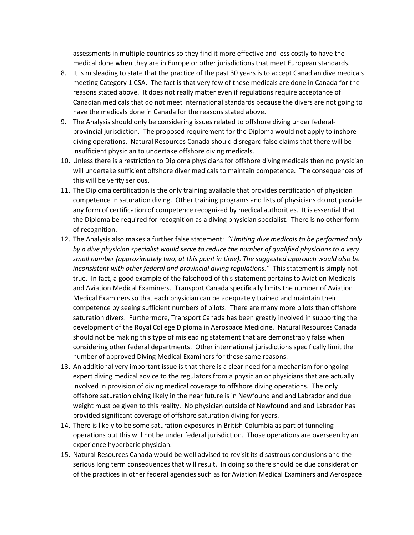assessments in multiple countries so they find it more effective and less costly to have the medical done when they are in Europe or other jurisdictions that meet European standards.

- 8. It is misleading to state that the practice of the past 30 years is to accept Canadian dive medicals meeting Category 1 CSA. The fact is that very few of these medicals are done in Canada for the reasons stated above. It does not really matter even if regulations require acceptance of Canadian medicals that do not meet international standards because the divers are not going to have the medicals done in Canada for the reasons stated above.
- 9. The Analysis should only be considering issues related to offshore diving under federalprovincial jurisdiction. The proposed requirement for the Diploma would not apply to inshore diving operations. Natural Resources Canada should disregard false claims that there will be insufficient physician to undertake offshore diving medicals.
- 10. Unless there is a restriction to Diploma physicians for offshore diving medicals then no physician will undertake sufficient offshore diver medicals to maintain competence. The consequences of this will be verity serious.
- 11. The Diploma certification is the only training available that provides certification of physician competence in saturation diving. Other training programs and lists of physicians do not provide any form of certification of competence recognized by medical authorities. It is essential that the Diploma be required for recognition as a diving physician specialist. There is no other form of recognition.
- 12. The Analysis also makes a further false statement: "Limiting dive medicals to be performed only by a dive physician specialist would serve to reduce the number of qualified physicians to a very small number (approximately two, at this point in time). The suggested approach would also be inconsistent with other federal and provincial diving regulations." This statement is simply not true. In fact, a good example of the falsehood of this statement pertains to Aviation Medicals and Aviation Medical Examiners. Transport Canada specifically limits the number of Aviation Medical Examiners so that each physician can be adequately trained and maintain their competence by seeing sufficient numbers of pilots. There are many more pilots than offshore saturation divers. Furthermore, Transport Canada has been greatly involved in supporting the development of the Royal College Diploma in Aerospace Medicine. Natural Resources Canada should not be making this type of misleading statement that are demonstrably false when considering other federal departments. Other international jurisdictions specifically limit the number of approved Diving Medical Examiners for these same reasons.
- 13. An additional very important issue is that there is a clear need for a mechanism for ongoing expert diving medical advice to the regulators from a physician or physicians that are actually involved in provision of diving medical coverage to offshore diving operations. The only offshore saturation diving likely in the near future is in Newfoundland and Labrador and due weight must be given to this reality. No physician outside of Newfoundland and Labrador has provided significant coverage of offshore saturation diving for years.
- 14. There is likely to be some saturation exposures in British Columbia as part of tunneling operations but this will not be under federal jurisdiction. Those operations are overseen by an experience hyperbaric physician.
- 15. Natural Resources Canada would be well advised to revisit its disastrous conclusions and the serious long term consequences that will result. In doing so there should be due consideration of the practices in other federal agencies such as for Aviation Medical Examiners and Aerospace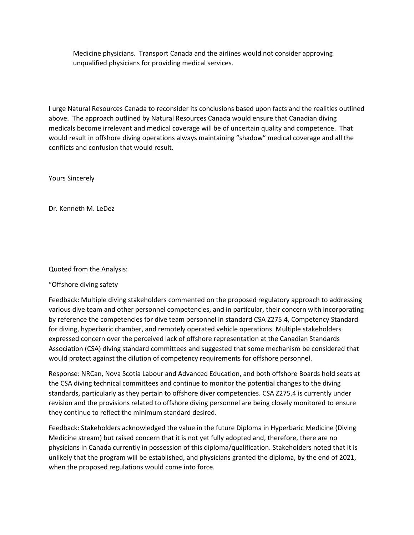Medicine physicians. Transport Canada and the airlines would not consider approving unqualified physicians for providing medical services.

I urge Natural Resources Canada to reconsider its conclusions based upon facts and the realities outlined above. The approach outlined by Natural Resources Canada would ensure that Canadian diving medicals become irrelevant and medical coverage will be of uncertain quality and competence. That would result in offshore diving operations always maintaining "shadow" medical coverage and all the conflicts and confusion that would result.

Yours Sincerely

Dr. Kenneth M. LeDez

## Quoted from the Analysis:

## "Offshore diving safety

Feedback: Multiple diving stakeholders commented on the proposed regulatory approach to addressing various dive team and other personnel competencies, and in particular, their concern with incorporating by reference the competencies for dive team personnel in standard CSA Z275.4, Competency Standard for diving, hyperbaric chamber, and remotely operated vehicle operations. Multiple stakeholders expressed concern over the perceived lack of offshore representation at the Canadian Standards Association (CSA) diving standard committees and suggested that some mechanism be considered that would protect against the dilution of competency requirements for offshore personnel.

Response: NRCan, Nova Scotia Labour and Advanced Education, and both offshore Boards hold seats at the CSA diving technical committees and continue to monitor the potential changes to the diving standards, particularly as they pertain to offshore diver competencies. CSA Z275.4 is currently under revision and the provisions related to offshore diving personnel are being closely monitored to ensure they continue to reflect the minimum standard desired.

Feedback: Stakeholders acknowledged the value in the future Diploma in Hyperbaric Medicine (Diving Medicine stream) but raised concern that it is not yet fully adopted and, therefore, there are no physicians in Canada currently in possession of this diploma/qualification. Stakeholders noted that it is unlikely that the program will be established, and physicians granted the diploma, by the end of 2021, when the proposed regulations would come into force.